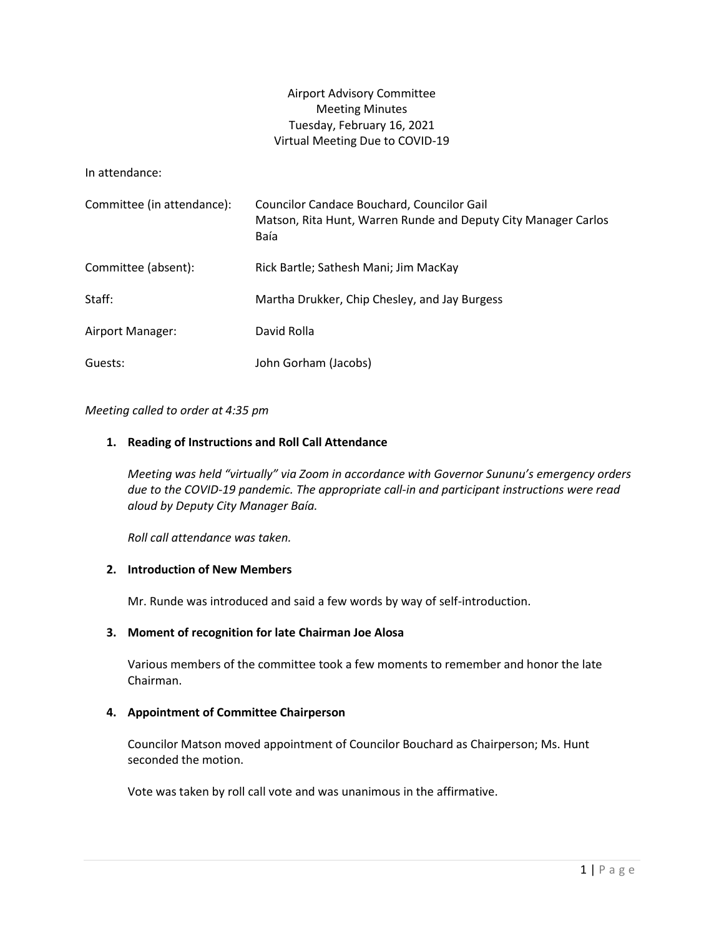# Airport Advisory Committee Meeting Minutes Tuesday, February 16, 2021 Virtual Meeting Due to COVID-19

In attendance:

| Committee (in attendance): | Councilor Candace Bouchard, Councilor Gail<br>Matson, Rita Hunt, Warren Runde and Deputy City Manager Carlos<br>Baía |
|----------------------------|----------------------------------------------------------------------------------------------------------------------|
| Committee (absent):        | Rick Bartle; Sathesh Mani; Jim MacKay                                                                                |
| Staff:                     | Martha Drukker, Chip Chesley, and Jay Burgess                                                                        |
| Airport Manager:           | David Rolla                                                                                                          |
| Guests:                    | John Gorham (Jacobs)                                                                                                 |

#### *Meeting called to order at 4:35 pm*

#### **1. Reading of Instructions and Roll Call Attendance**

*Meeting was held "virtually" via Zoom in accordance with Governor Sununu's emergency orders due to the COVID-19 pandemic. The appropriate call-in and participant instructions were read aloud by Deputy City Manager Baía.* 

*Roll call attendance was taken.* 

### **2. Introduction of New Members**

Mr. Runde was introduced and said a few words by way of self-introduction.

#### **3. Moment of recognition for late Chairman Joe Alosa**

Various members of the committee took a few moments to remember and honor the late Chairman.

#### **4. Appointment of Committee Chairperson**

Councilor Matson moved appointment of Councilor Bouchard as Chairperson; Ms. Hunt seconded the motion.

Vote was taken by roll call vote and was unanimous in the affirmative.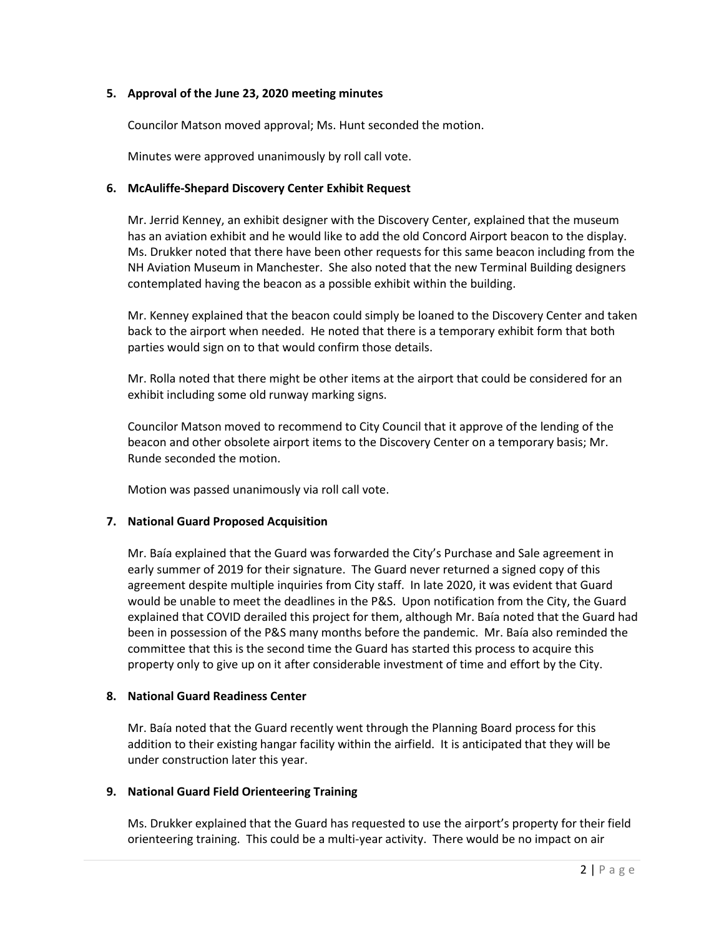## **5. Approval of the June 23, 2020 meeting minutes**

Councilor Matson moved approval; Ms. Hunt seconded the motion.

Minutes were approved unanimously by roll call vote.

## **6. McAuliffe-Shepard Discovery Center Exhibit Request**

Mr. Jerrid Kenney, an exhibit designer with the Discovery Center, explained that the museum has an aviation exhibit and he would like to add the old Concord Airport beacon to the display. Ms. Drukker noted that there have been other requests for this same beacon including from the NH Aviation Museum in Manchester. She also noted that the new Terminal Building designers contemplated having the beacon as a possible exhibit within the building.

Mr. Kenney explained that the beacon could simply be loaned to the Discovery Center and taken back to the airport when needed. He noted that there is a temporary exhibit form that both parties would sign on to that would confirm those details.

Mr. Rolla noted that there might be other items at the airport that could be considered for an exhibit including some old runway marking signs.

Councilor Matson moved to recommend to City Council that it approve of the lending of the beacon and other obsolete airport items to the Discovery Center on a temporary basis; Mr. Runde seconded the motion.

Motion was passed unanimously via roll call vote.

## **7. National Guard Proposed Acquisition**

Mr. Baía explained that the Guard was forwarded the City's Purchase and Sale agreement in early summer of 2019 for their signature. The Guard never returned a signed copy of this agreement despite multiple inquiries from City staff. In late 2020, it was evident that Guard would be unable to meet the deadlines in the P&S. Upon notification from the City, the Guard explained that COVID derailed this project for them, although Mr. Baía noted that the Guard had been in possession of the P&S many months before the pandemic. Mr. Baía also reminded the committee that this is the second time the Guard has started this process to acquire this property only to give up on it after considerable investment of time and effort by the City.

## **8. National Guard Readiness Center**

Mr. Baía noted that the Guard recently went through the Planning Board process for this addition to their existing hangar facility within the airfield. It is anticipated that they will be under construction later this year.

## **9. National Guard Field Orienteering Training**

Ms. Drukker explained that the Guard has requested to use the airport's property for their field orienteering training. This could be a multi-year activity. There would be no impact on air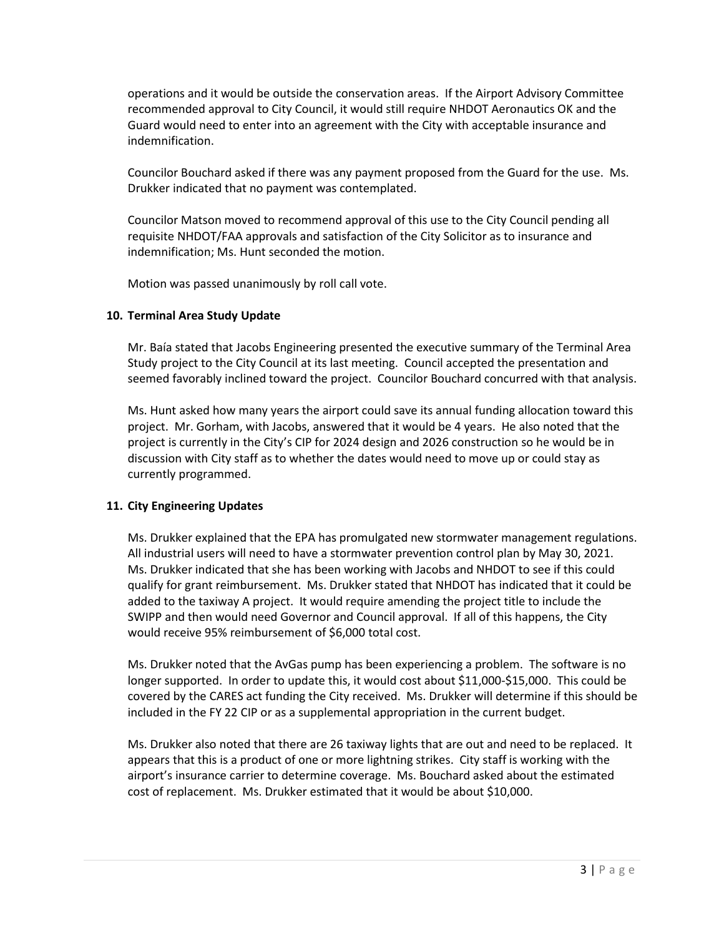operations and it would be outside the conservation areas. If the Airport Advisory Committee recommended approval to City Council, it would still require NHDOT Aeronautics OK and the Guard would need to enter into an agreement with the City with acceptable insurance and indemnification.

Councilor Bouchard asked if there was any payment proposed from the Guard for the use. Ms. Drukker indicated that no payment was contemplated.

Councilor Matson moved to recommend approval of this use to the City Council pending all requisite NHDOT/FAA approvals and satisfaction of the City Solicitor as to insurance and indemnification; Ms. Hunt seconded the motion.

Motion was passed unanimously by roll call vote.

# **10. Terminal Area Study Update**

Mr. Baía stated that Jacobs Engineering presented the executive summary of the Terminal Area Study project to the City Council at its last meeting. Council accepted the presentation and seemed favorably inclined toward the project. Councilor Bouchard concurred with that analysis.

Ms. Hunt asked how many years the airport could save its annual funding allocation toward this project. Mr. Gorham, with Jacobs, answered that it would be 4 years. He also noted that the project is currently in the City's CIP for 2024 design and 2026 construction so he would be in discussion with City staff as to whether the dates would need to move up or could stay as currently programmed.

# **11. City Engineering Updates**

Ms. Drukker explained that the EPA has promulgated new stormwater management regulations. All industrial users will need to have a stormwater prevention control plan by May 30, 2021. Ms. Drukker indicated that she has been working with Jacobs and NHDOT to see if this could qualify for grant reimbursement. Ms. Drukker stated that NHDOT has indicated that it could be added to the taxiway A project. It would require amending the project title to include the SWIPP and then would need Governor and Council approval. If all of this happens, the City would receive 95% reimbursement of \$6,000 total cost.

Ms. Drukker noted that the AvGas pump has been experiencing a problem. The software is no longer supported. In order to update this, it would cost about \$11,000-\$15,000. This could be covered by the CARES act funding the City received. Ms. Drukker will determine if this should be included in the FY 22 CIP or as a supplemental appropriation in the current budget.

Ms. Drukker also noted that there are 26 taxiway lights that are out and need to be replaced. It appears that this is a product of one or more lightning strikes. City staff is working with the airport's insurance carrier to determine coverage. Ms. Bouchard asked about the estimated cost of replacement. Ms. Drukker estimated that it would be about \$10,000.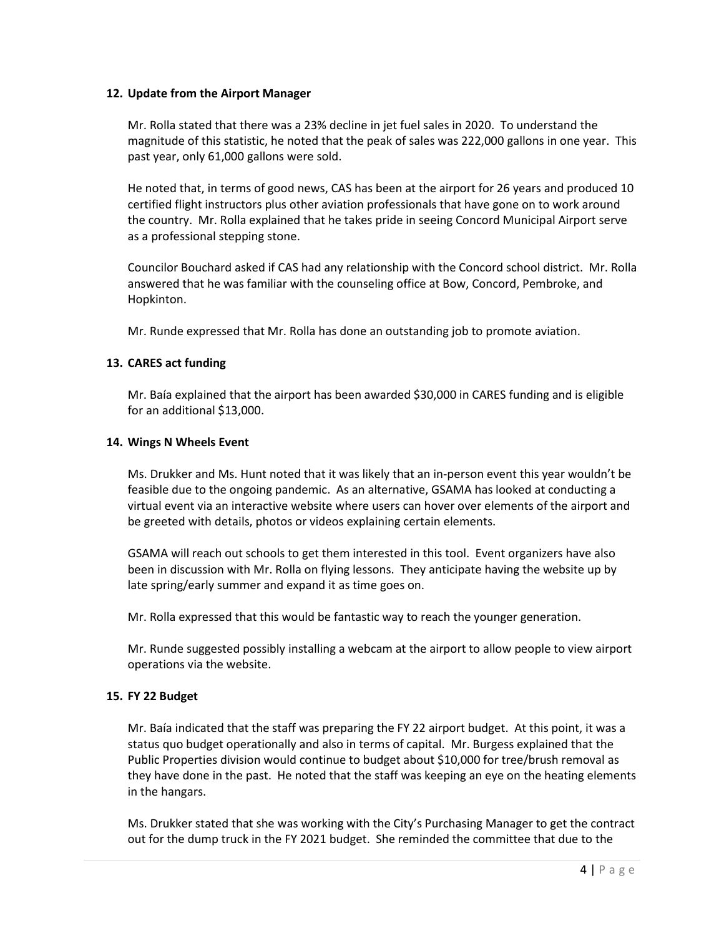## **12. Update from the Airport Manager**

Mr. Rolla stated that there was a 23% decline in jet fuel sales in 2020. To understand the magnitude of this statistic, he noted that the peak of sales was 222,000 gallons in one year. This past year, only 61,000 gallons were sold.

He noted that, in terms of good news, CAS has been at the airport for 26 years and produced 10 certified flight instructors plus other aviation professionals that have gone on to work around the country. Mr. Rolla explained that he takes pride in seeing Concord Municipal Airport serve as a professional stepping stone.

Councilor Bouchard asked if CAS had any relationship with the Concord school district. Mr. Rolla answered that he was familiar with the counseling office at Bow, Concord, Pembroke, and Hopkinton.

Mr. Runde expressed that Mr. Rolla has done an outstanding job to promote aviation.

#### **13. CARES act funding**

Mr. Baía explained that the airport has been awarded \$30,000 in CARES funding and is eligible for an additional \$13,000.

#### **14. Wings N Wheels Event**

Ms. Drukker and Ms. Hunt noted that it was likely that an in-person event this year wouldn't be feasible due to the ongoing pandemic. As an alternative, GSAMA has looked at conducting a virtual event via an interactive website where users can hover over elements of the airport and be greeted with details, photos or videos explaining certain elements.

GSAMA will reach out schools to get them interested in this tool. Event organizers have also been in discussion with Mr. Rolla on flying lessons. They anticipate having the website up by late spring/early summer and expand it as time goes on.

Mr. Rolla expressed that this would be fantastic way to reach the younger generation.

Mr. Runde suggested possibly installing a webcam at the airport to allow people to view airport operations via the website.

## **15. FY 22 Budget**

Mr. Baía indicated that the staff was preparing the FY 22 airport budget. At this point, it was a status quo budget operationally and also in terms of capital. Mr. Burgess explained that the Public Properties division would continue to budget about \$10,000 for tree/brush removal as they have done in the past. He noted that the staff was keeping an eye on the heating elements in the hangars.

Ms. Drukker stated that she was working with the City's Purchasing Manager to get the contract out for the dump truck in the FY 2021 budget. She reminded the committee that due to the